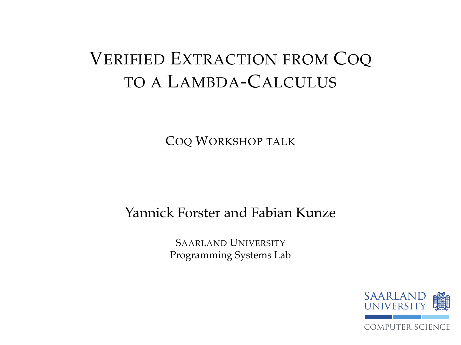# VERIFIED EXTRACTION FROM COQ TO A LAMBDA-CALCULUS

COQ WORKSHOP TALK

#### Yannick Forster and Fabian Kunze

SAARLAND UNIVERSITY Programming Systems Lab

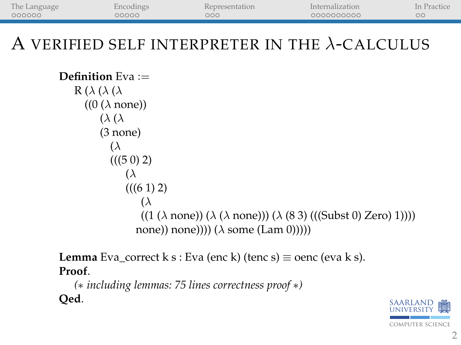| The Language | Encodings | Representation | Internalization | In Practice |
|--------------|-----------|----------------|-----------------|-------------|
| 000000       | 00000     | 000            | 0000000000      | ОC          |
|              |           |                |                 |             |

## A VERIFIED SELF INTERPRETER IN THE  $\lambda$ -CALCULUS

```
Definition Eva :=
     R(\lambda)(\lambda)((0 (<math>\lambda</math> none))(λ (λ
              (3 none)
                 (\lambda(((50) 2)(\lambda(((6 1) 2)(\lambda((1 (\lambda \text{ none})) (\lambda (\lambda \text{ none}))) (\lambda (83) ((\text{Subst 0}) \text{ Zero}) 1))))none)) none)))) (\lambda \text{ some (Lam 0)})))
```
**Lemma** Eva\_correct k s : Eva (enc k) (tenc s)  $\equiv$  oenc (eva k s). **Proof**.

```
(∗ including lemmas: 75 lines correctness proof ∗)
Qed.
```
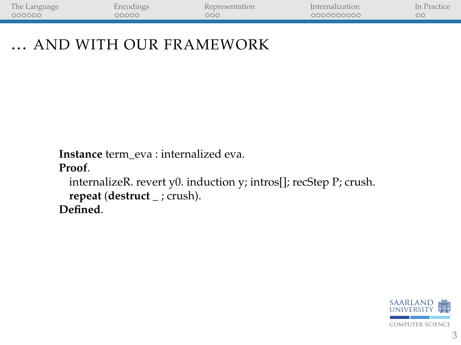| The Language    |     |            |  |
|-----------------|-----|------------|--|
| 000000<br>00000 | ooc | 0000000000 |  |

#### ... AND WITH OUR FRAMEWORK

**Instance** term\_eva : internalized eva.

**Proof**.

internalizeR. revert y0. induction y; intros[]; recStep P; crush. **repeat** (**destruct** \_ ; crush). **Defined**.

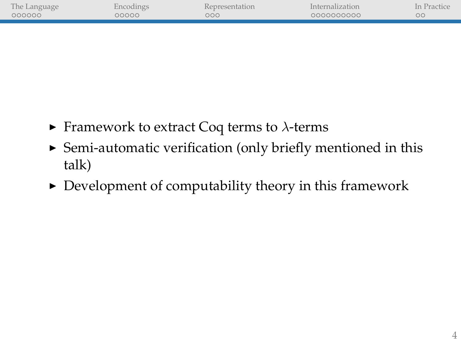| The Language |              |     | Internalization | In |
|--------------|--------------|-----|-----------------|----|
| 000000       | <u>ാററററ</u> | 200 | 0000000000      | oο |
|              |              |     |                 |    |
|              |              |     |                 |    |

- **Framework to extract Coq terms to**  $\lambda$ **-terms**
- $\triangleright$  Semi-automatic verification (only briefly mentioned in this talk)
- $\triangleright$  Development of computability theory in this framework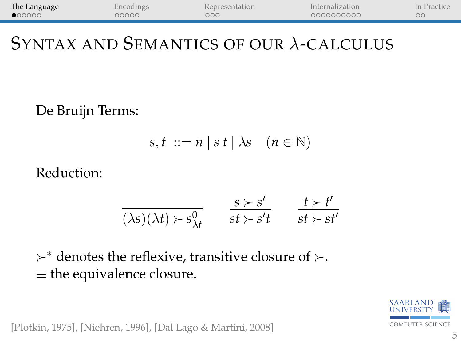<span id="page-4-0"></span>

| The Language    | Encodings | <b>Representation</b> | Internalization | In Practice |
|-----------------|-----------|-----------------------|-----------------|-------------|
| $\bullet$ 00000 | 00000     | 000                   | 0000000000      |             |
|                 |           |                       |                 |             |

## SYNTAX AND SEMANTICS OF OUR λ-CALCULUS

De Bruijn Terms:

$$
s, t ::= n | s t | \lambda s \quad (n \in \mathbb{N})
$$

Reduction:

$$
\frac{s \succ s'}{(\lambda s)(\lambda t) \succ s^0_{\lambda t} \qquad \frac{s \succ s'}{st \succ s't} \qquad \frac{t \succ t'}{st \succ st'}
$$

 $\succ^*$  denotes the reflexive, transitive closure of  $\succ$ . ≡ the equivalence closure.



[Plotkin, 1975], [Niehren, 1996], [Dal Lago & Martini, 2008]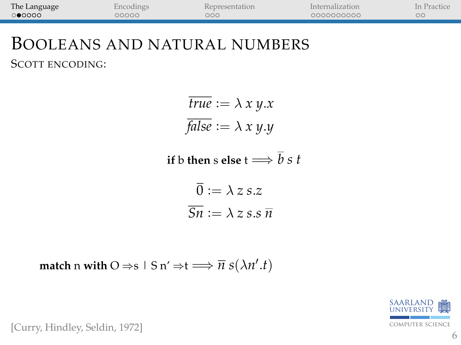| The Language | Encodings | Representation | Internalization | In Practice |
|--------------|-----------|----------------|-----------------|-------------|
| 0 00000      | 00000     | 000            | 0000000000      |             |
|              |           |                |                 |             |

#### BOOLEANS AND NATURAL NUMBERS SCOTT ENCODING:

$$
\overline{true} := \lambda x y.x
$$

$$
\overline{false} := \lambda x y.y
$$

**if** b **then** s **else**  $t \Longrightarrow \bar{b} s t$ 

$$
\overline{0} := \lambda z \, s.z
$$

$$
\overline{Sn} := \lambda z \, s.s \, \overline{n}
$$

**match** n **with**  $O \Rightarrow s | S \text{ n'} \Rightarrow t \Longrightarrow \overline{n} s(\lambda n'.t)$ 



[Curry, Hindley, Seldin, 1972]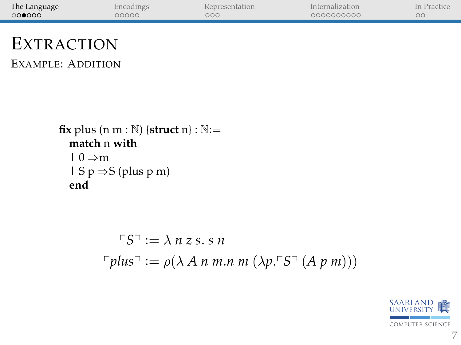| The Language | encodings | Representation | Internalization | In Practice |
|--------------|-----------|----------------|-----------------|-------------|
| 000000       | 00000     | ೦೦೦            | 000000000       |             |
|              |           |                |                 |             |

# EXTRACTION

EXAMPLE: ADDITION

```
fix plus (n m : \mathbb{N}) {struct n} : \mathbb{N}:=
   match n with
   | 0 \Rightarrow m| S p \Rightarrow S (plus p m)
   end
```

$$
\begin{aligned} \n\ulcorner S \urcorner &:= \lambda \, n \, z \, s \, s \, n \\ \n\ulcorner \textit{plus} \urcorner &:= \rho(\lambda \, A \, n \, m \, n \, m \, (\lambda p \, \ulcorner S \urcorner \, (A \, p \, m))) \n\end{aligned}
$$

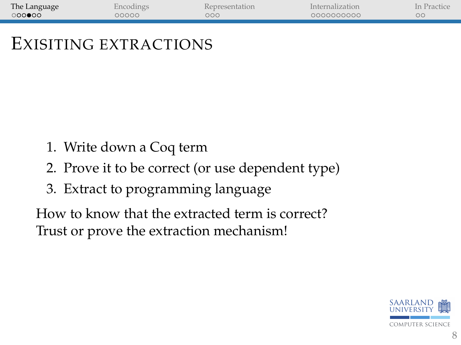| The Language | Encodings | <b>Representation</b> | Internalization | In Practice |
|--------------|-----------|-----------------------|-----------------|-------------|
| 000000       | 00000     | 000                   | 0000000000      |             |
|              |           |                       |                 |             |

## EXISITING EXTRACTIONS

- 1. Write down a Coq term
- 2. Prove it to be correct (or use dependent type)
- 3. Extract to programming language

How to know that the extracted term is correct? Trust or prove the extraction mechanism!

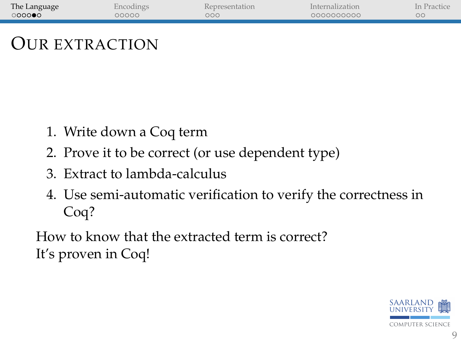| The Language | Encodings | Representation | Internalization | In Practice |
|--------------|-----------|----------------|-----------------|-------------|
| 0000         | 00000     | ooc            | 0000000000      | oο          |
|              |           |                |                 |             |

### OUR EXTRACTION

- 1. Write down a Coq term
- 2. Prove it to be correct (or use dependent type)
- 3. Extract to lambda-calculus
- 4. Use semi-automatic verification to verify the correctness in Coq?

How to know that the extracted term is correct? It's proven in Coq!

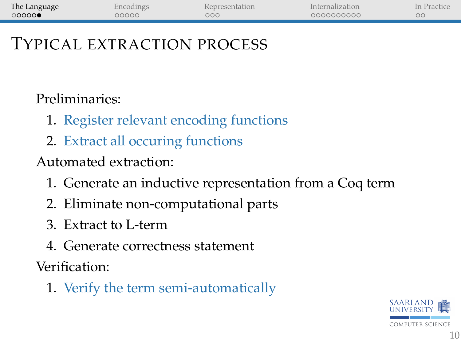| The Language | Encodings | Representation | Internalization | In Practice |
|--------------|-----------|----------------|-----------------|-------------|
| 00000        | 00000     | 000            | 0000000000      |             |
|              |           |                |                 |             |

#### TYPICAL EXTRACTION PROCESS

Preliminaries:

- 1. Register relevant encoding functions
- 2. Extract all occuring functions

Automated extraction:

- 1. Generate an inductive representation from a Coq term
- 2. Eliminate non-computational parts
- 3. Extract to L-term
- 4. Generate correctness statement

Verification:

1. Verify the term semi-automatically

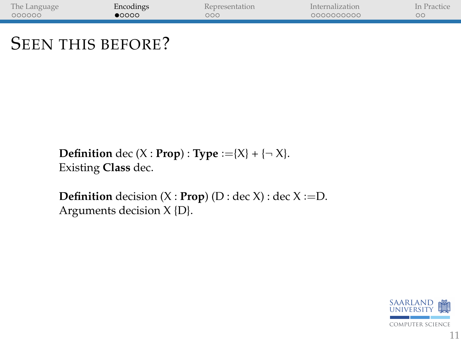<span id="page-10-0"></span>

| The Language | Encodings      | <b>Representation</b> | Internalization | In Practice |
|--------------|----------------|-----------------------|-----------------|-------------|
| 000000       | $\bullet$ 0000 | $\circ \circ \circ$   | 000000000       | ОC          |
|              |                |                       |                 |             |

### SEEN THIS BEFORE?

**Definition** dec (X : **Prop**) : **Type** :={X} + { $\neg$  X}. Existing **Class** dec.

**Definition** decision  $(X : \textbf{Prop})$   $(D : \text{dec } X) : \text{dec } X := D$ . Arguments decision X {D}.

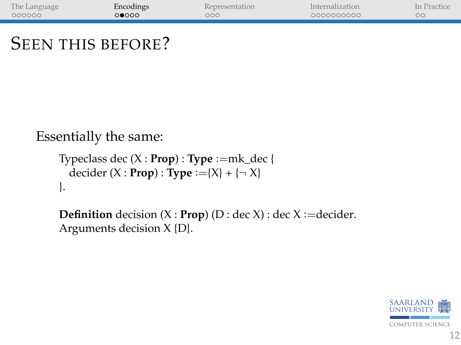| The Language | Encodings | Representation | Internalization | In Practice |
|--------------|-----------|----------------|-----------------|-------------|
| 000000       | റ∩റെ      | ooc            | 000000000       |             |
|              |           |                |                 |             |

### SEEN THIS BEFORE?

Essentially the same:

```
Typeclass dec (X : Prop) : Type :=mk_dec {
  decider (X : \text{Prop}) : \text{Type} := {X} + { \neg X}}.
```
**Definition** decision  $(X : \text{Prop})$   $(D : \text{dec } X) : \text{dec } X := \text{decider}.$ Arguments decision X {D}.

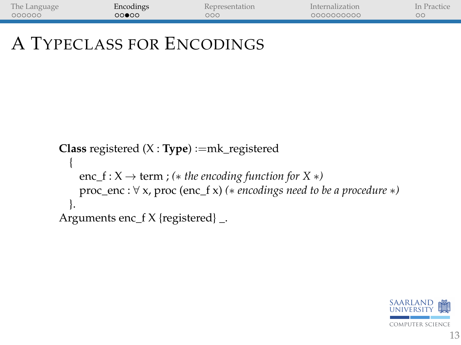| The Language | Encodings | Representation | Internalization | In Practice |
|--------------|-----------|----------------|-----------------|-------------|
| 000000       | 00000     | 000            | 0000000000      |             |

# A TYPECLASS FOR ENCODINGS

```
Class registered (X : Type) :=mk_registered
  {
    enc_f : X \rightarrow term ; (* the encoding function for X *)
    proc_enc : ∀ x, proc (enc_f x) (∗ encodings need to be a procedure ∗)
  }.
Arguments enc_f X {registered} _.
```
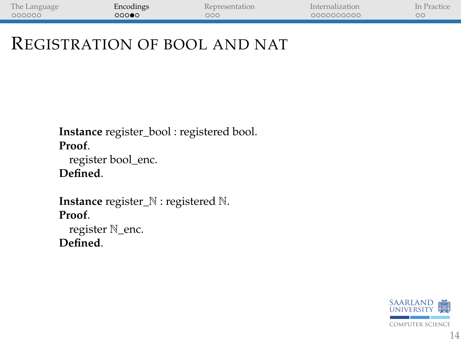| The Language | Encodings | Representation | Internalization | In Practice |
|--------------|-----------|----------------|-----------------|-------------|
| 000000       | ಂಂ∙ಂ      | 000            | 0000000000      |             |

### REGISTRATION OF BOOL AND NAT

**Instance** register\_bool : registered bool. **Proof**.

register bool\_enc. **Defined**.

**Instance** register\_N : registered N. **Proof**.

register N\_enc. **Defined**.

> computer science SAARLAND alle UNIVERSITY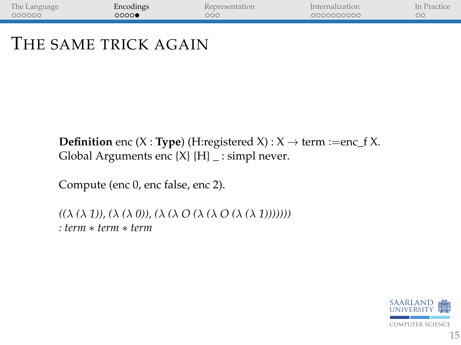| The Language | Encodings | Representation | Internalization | In Practice |
|--------------|-----------|----------------|-----------------|-------------|
| 000000       | 0000      | OOC            | 0000000000      |             |
|              |           |                |                 |             |

### THE SAME TRICK AGAIN

**Definition** enc (X : **Type**) (H:registered X) :  $X \rightarrow$  term :=enc\_f X. Global Arguments enc  $\{X\}$   $\{H\}$  \_ : simpl never.

Compute (enc 0, enc false, enc 2).

*((*λ *(*λ *1)), (*λ *(*λ *0)), (*λ *(*λ *O (*λ *(*λ *O (*λ *(*λ *1))))))) : term* ∗ *term* ∗ *term*

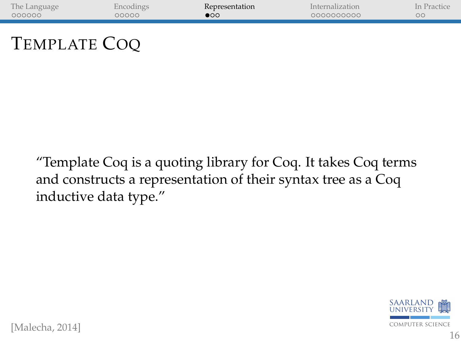<span id="page-15-0"></span>

| The Language | Encodings | Representation | Internalization | In Practice |
|--------------|-----------|----------------|-----------------|-------------|
| 000000       | 00000     | $\bullet$      | 0000000000      | ററ          |
|              |           |                |                 |             |
|              |           |                |                 |             |
|              |           |                |                 |             |

## TEMPLATE COQ

"Template Coq is a quoting library for Coq. It takes Coq terms and constructs a representation of their syntax tree as a Coq inductive data type."



[Malecha, 2014]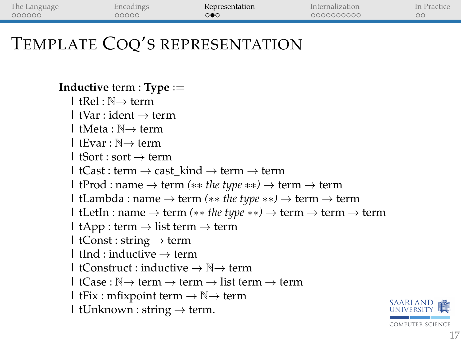| The Language | Encodings | Representation | Internalization | In Practice |
|--------------|-----------|----------------|-----------------|-------------|
| 000000       | 00000     | ೕ              | 0000000000      |             |
|              |           |                |                 |             |

## TEMPLATE COQ'S REPRESENTATION

**Inductive** term : **Type** :=  $|$  tRel  $\cdot$  N $\rightarrow$  term  $\vdash$  tVar : ident  $\rightarrow$  term | tMeta : N→ term | tEvar : N→ term  $\vdash$  tSort : sort  $\rightarrow$  term | tCast : term  $\rightarrow$  cast\_kind  $\rightarrow$  term  $\rightarrow$  term | tProd : name → term *(*∗∗ *the type* ∗∗*)* → term → term | tLambda : name → term *(*∗∗ *the type* ∗∗*)* → term → term | tLetIn : name → term *(*∗∗ *the type* ∗∗*)* → term → term → term | tApp : term  $\rightarrow$  list term  $\rightarrow$  term | tConst : string  $\rightarrow$  term  $\vdash$  tInd : inductive  $\rightarrow$  term | tConstruct : inductive  $\rightarrow \mathbb{N} \rightarrow$  term  $\vdash$  tCase :  $\mathbb{N} \rightarrow$  term  $\rightarrow$  term  $\rightarrow$  list term  $\rightarrow$  term | tFix : mfixpoint term  $\rightarrow \mathbb{N} \rightarrow$  term | tUnknown : string  $\rightarrow$  term.

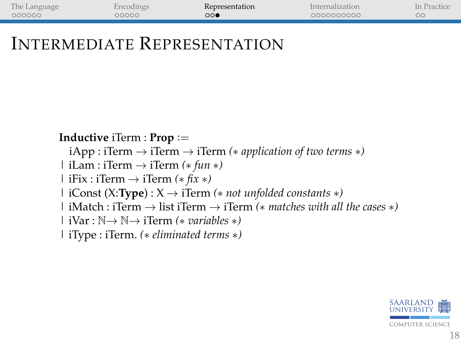| The Language | incodings | Representation | Internalization | In Practice |
|--------------|-----------|----------------|-----------------|-------------|
| 000000       | 00000     | ○○●            | 0000000000      |             |

### INTERMEDIATE REPRESENTATION

**Inductive** iTerm : **Prop** :=

- iApp : iTerm → iTerm → iTerm *(*∗ *application of two terms* ∗*)*
- | iLam : iTerm → iTerm *(*∗ *fun* ∗*)*
- | iFix : iTerm → iTerm *(*∗ *fix* ∗*)*
- | iConst (X:**Type**) : X → iTerm *(*∗ *not unfolded constants* ∗*)*
- | iMatch : iTerm → list iTerm → iTerm *(*∗ *matches with all the cases* ∗*)*
- | iVar : N→ N→ iTerm *(*∗ *variables* ∗*)*
- | iType : iTerm. *(*∗ *eliminated terms* ∗*)*

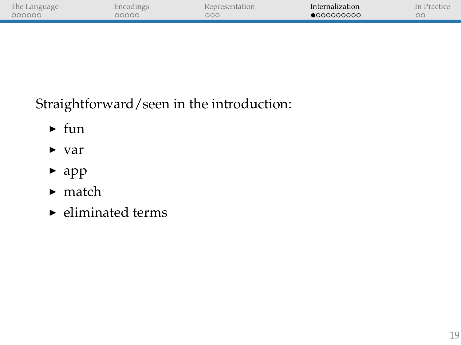<span id="page-18-0"></span>

| The Language |       | <b>Representation</b> | Internalization | "ractic <sub>*</sub><br>$\ln$ |
|--------------|-------|-----------------------|-----------------|-------------------------------|
| 000000       | poooc | ooc                   | •000000000      | ОC                            |
|              |       |                       |                 |                               |
|              |       |                       |                 |                               |

Straightforward/seen in the introduction:

- $\blacktriangleright$  fun
- $\blacktriangleright$  var
- $\blacktriangleright$  app
- $\blacktriangleright$  match
- $\blacktriangleright$  eliminated terms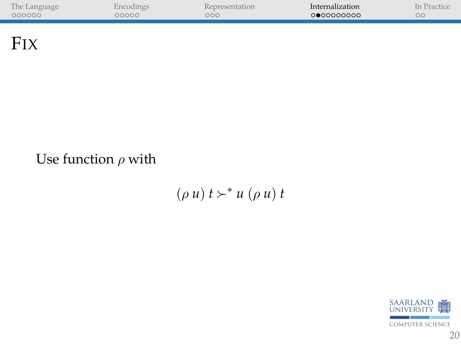| The Language |       | centation. | Internalization | $\ln$<br>rac |
|--------------|-------|------------|-----------------|--------------|
| 000000       | 00000 | ooc        | ∩●∩∩∩∩∩∩∩       | ОC           |
|              |       |            |                 |              |

**FIX** 

#### Use function  $\rho$  with

 $(\rho u) t \succ^* u (\rho u) t$ 

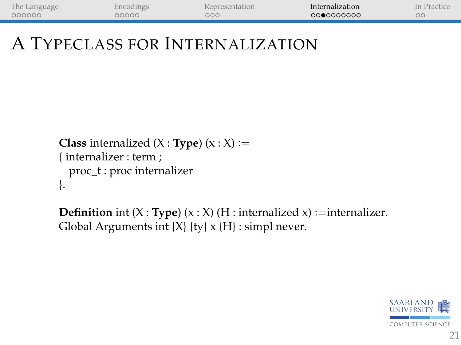| The Language | incodings | Representation | Internalization | In Practice |
|--------------|-----------|----------------|-----------------|-------------|
| 000000       | poooo     | оос            | 0000000000      | oс          |

# A TYPECLASS FOR INTERNALIZATION

```
Class internalized (X : Type) (x : X) :={ internalizer : term ;
  proc_t : proc internalizer
}.
```
**Definition** int  $(X : Type)$   $(x : X)$   $(H : internalized x) := internalizer$ . Global Arguments int  $\{X\}$   $\{ty\}$  x  $\{H\}$ : simpl never.

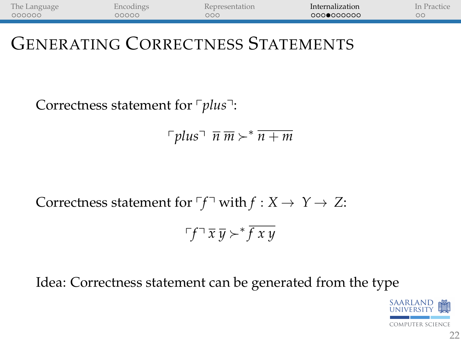| The Language | incodings | Representation | Internalization | In Practice |
|--------------|-----------|----------------|-----------------|-------------|
| 000000       | 00000     | 000            | 000●000000      | oο          |

## GENERATING CORRECTNESS STATEMENTS

Correctness statement for <sup>r</sup>plus<sup>-1</sup>:

 $\lceil \textit{plus} \rceil \overline{n} \overline{m} \succ^* \overline{n+m}$ 

Correctness statement for  $\ulcorner f \urcorner$  with  $f : X \to Y \to Z$ :

$$
\ulcorner f \urcorner \, \overline{x} \, \overline{y} \succ^* \overline{f \, x \, y}
$$

#### Idea: Correctness statement can be generated from the type

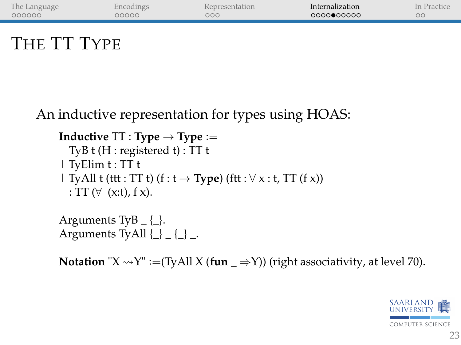| The Language | Encodings | Representation | Internalization | In Practice |
|--------------|-----------|----------------|-----------------|-------------|
| 000000       | 00000     | 000            | ∩QQQ●QQQQQ      | $\circ$     |
|              |           |                |                 |             |

## THE TT TYPE

An inductive representation for types using HOAS:

**Inductive**  $TT$  : **Type**  $\rightarrow$  **Type** := TyB t (H : registered t) : TT t | TyElim t : TT t | TyAll t (ttt : TT t)  $(f : t \rightarrow Type)$  (ftt :  $\forall x : t$ , TT  $(f x)$ ) : TT  $(\forall$  (x:t), f x).

Arguments TyB  $\{ \}$ . Arguments TyAll  $\{\_ \}$   $\{\_ \}$   $\_$ .

**Notation** " $X \rightarrow Y$ " :=(TyAll  $X$  (**fun**  $\Rightarrow$ Y)) (right associativity, at level 70).

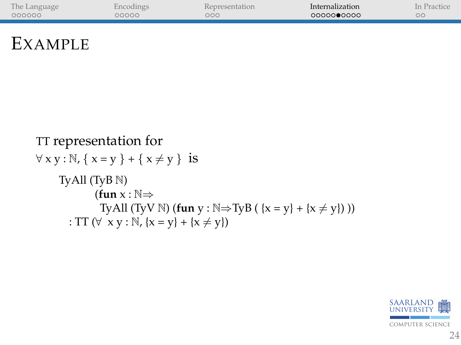| The Language | Encodings | Representation | Internalization | In Practice |
|--------------|-----------|----------------|-----------------|-------------|
| 000000       | 00000     | 000            | 0000000000      |             |
|              |           |                |                 |             |

# EXAMPLE

TT representation for  
\n
$$
\forall x y : \mathbb{N}, \{x = y\} + \{x \neq y\}
$$
 is  
\nTyAll (TyB N)  
\n**(fun** x :  $\mathbb{N} \Rightarrow$   
\nTyAll (TyV N) **(fun** y :  $\mathbb{N} \Rightarrow$ TyB ( $\{x = y\} + \{x \neq y\}$  ))  
\n: TT ( $\forall x y : \mathbb{N}, \{x = y\} + \{x \neq y\}$ )

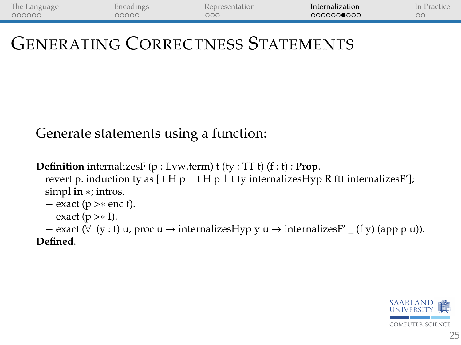| The Language | incodings | Representation | Internalization | In Practice |
|--------------|-----------|----------------|-----------------|-------------|
| 000000       | 00000     | оос            | 0000000000      | ОC          |

## GENERATING CORRECTNESS STATEMENTS

#### Generate statements using a function:

**Definition** internalizesF (p : Lvw.term) t (ty : TT t) (f : t) : **Prop**. revert p. induction ty as  $[ t H p | t H p + t v]$  internalizesHyp R ftt internalizesF']; simpl **in** ∗; intros.

$$
- exact (p > * enc f).
$$

 $-$  exact (p > $\ast$  I).

 $-$  exact ( $\forall$  (y : t) u, proc u → internalizesHyp y u → internalizesF'  $($ f y) (app p u)).

**Defined**.

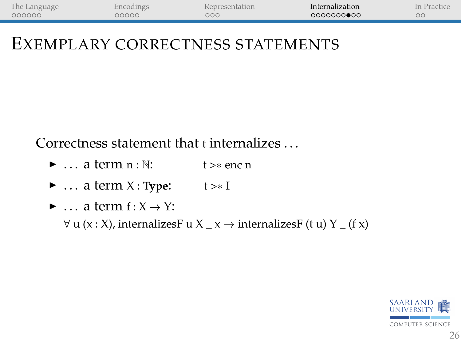| The Language | incodings | <b>Representation</b> | Internalization | In Practice |
|--------------|-----------|-----------------------|-----------------|-------------|
| 000000       | nnnn      | оос                   | 0000000000      |             |

#### EXEMPLARY CORRECTNESS STATEMENTS

Correctness statement that t internalizes . . .

- $\blacktriangleright$  ... a term  $n : \mathbb{N}:$  t >\* enc n
- $\triangleright$  ... a term X : **Type:** t > \* I
- $\blacktriangleright$  ... a term  $f: X \to Y$ :

 $\forall$  u (x : X), internalizes  $\exists$  u X \_ x  $\rightarrow$  internalizes  $\exists$  (t u) Y \_ (f x)

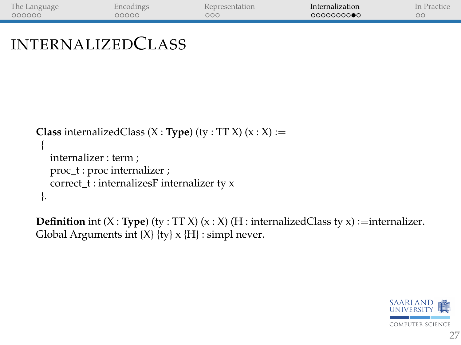| The Language | incodings | Representation | Internalization | In Practice |
|--------------|-----------|----------------|-----------------|-------------|
| 000000       | 20000     | ooc            | 0000000000      | ОC          |

```
INTERNALIZEDCLASS
```

```
Class internalizedClass (X : Type) (ty : TT X) (x : X) :={
   internalizer : term ;
   proc_t : proc internalizer ;
   correct t : internalizesF internalizer ty x
 }.
```
**Definition** int  $(X : Type)$  (ty : TT X)  $(x : X)$  (H : internalizedClass ty x) :=internalizer. Global Arguments int  $\{X\}$   $\{tv\}$  x  $\{H\}$ : simpl never.

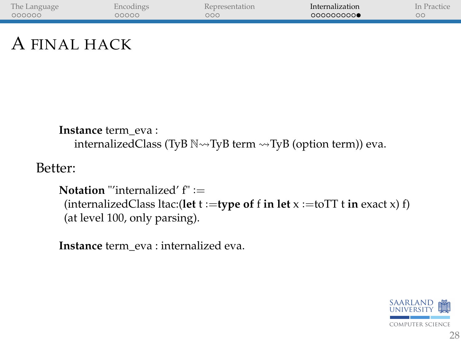| The Language | incodings | Representation | Internalization | Practic.<br>In |
|--------------|-----------|----------------|-----------------|----------------|
| 000000       | 20000     | рос            | 000000000       | ОC             |
|              |           |                |                 |                |

## A FINAL HACK

```
Instance term_eva :
   internalizedClass (TyB \mathbb{N} \rightarrowTyB term \rightarrowTyB (option term)) eva.
```
Better:

```
Notation "'internalized' f" :=
 (internalizedClass ltac:(let t :=type of f in let x :=toTT t in exact x) f)
 (at level 100, only parsing).
```
**Instance** term\_eva : internalized eva.

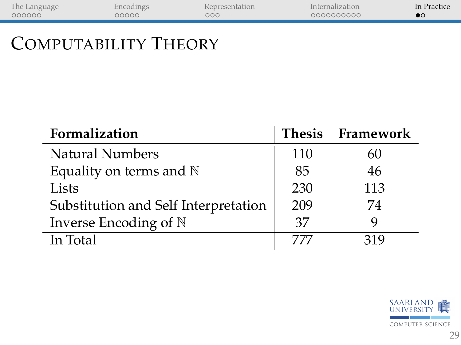<span id="page-28-0"></span>

| The Language | Encodings | Representation | Internalization | In Practice |
|--------------|-----------|----------------|-----------------|-------------|
| 000000       | 00000     | 000            | 0000000000      |             |
|              |           |                |                 |             |

# COMPUTABILITY THEORY

| Formalization                        | <b>Thesis</b> | Framework |
|--------------------------------------|---------------|-----------|
| <b>Natural Numbers</b>               | 110           | 60        |
| Equality on terms and $\mathbb N$    | 85            | 46        |
| Lists                                | 230           | 113       |
| Substitution and Self Interpretation | 209           | 74        |
| Inverse Encoding of N                | 37            | 9         |
| In Total                             | 777           | 319       |